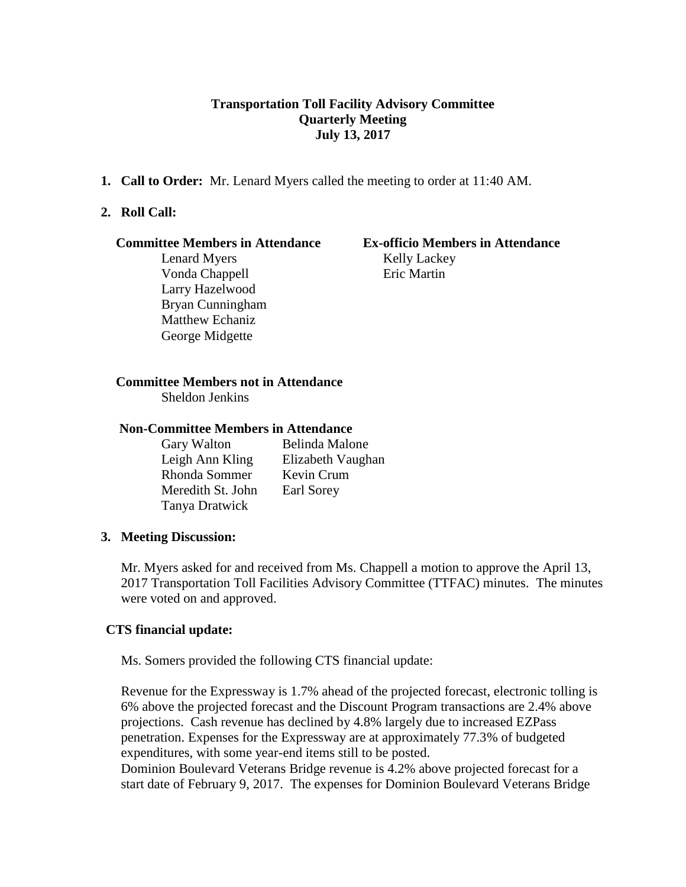# **Transportation Toll Facility Advisory Committee Quarterly Meeting July 13, 2017**

**1. Call to Order:** Mr. Lenard Myers called the meeting to order at 11:40 AM.

## **2. Roll Call:**

#### **Committee Members in Attendance Ex-officio Members in Attendance**

Lenard Myers Kelly Lackey Vonda Chappell Eric Martin Larry Hazelwood Bryan Cunningham Matthew Echaniz George Midgette

## **Committee Members not in Attendance**

Sheldon Jenkins

### **Non-Committee Members in Attendance**

Gary Walton Belinda Malone Leigh Ann Kling Elizabeth Vaughan Rhonda Sommer Kevin Crum Meredith St. John Earl Sorey Tanya Dratwick

### **3. Meeting Discussion:**

 Mr. Myers asked for and received from Ms. Chappell a motion to approve the April 13, 2017 Transportation Toll Facilities Advisory Committee (TTFAC) minutes. The minutes were voted on and approved.

### **CTS financial update:**

Ms. Somers provided the following CTS financial update:

Revenue for the Expressway is 1.7% ahead of the projected forecast, electronic tolling is 6% above the projected forecast and the Discount Program transactions are 2.4% above projections. Cash revenue has declined by 4.8% largely due to increased EZPass penetration. Expenses for the Expressway are at approximately 77.3% of budgeted expenditures, with some year-end items still to be posted.

Dominion Boulevard Veterans Bridge revenue is 4.2% above projected forecast for a start date of February 9, 2017. The expenses for Dominion Boulevard Veterans Bridge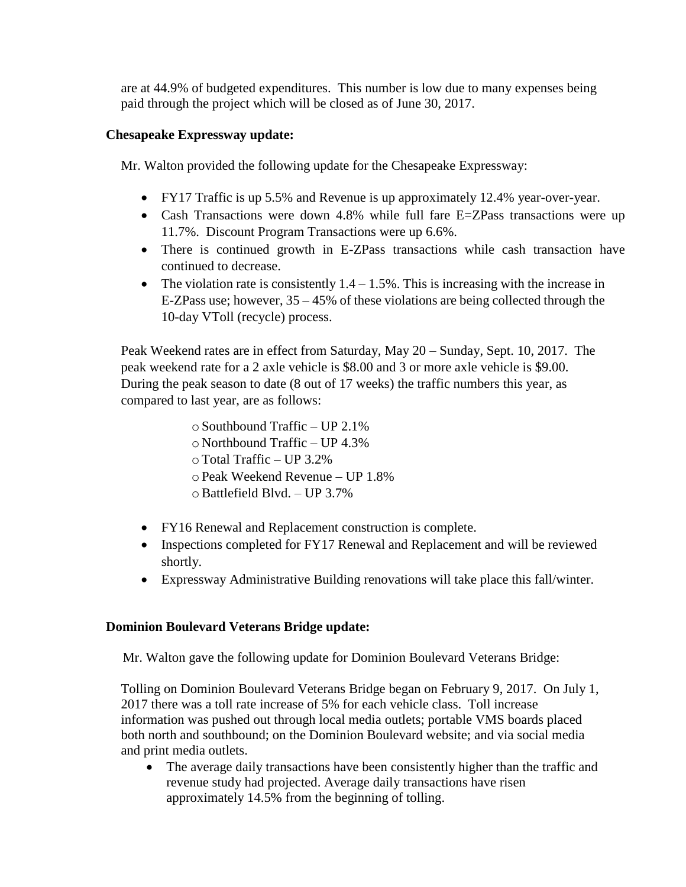are at 44.9% of budgeted expenditures. This number is low due to many expenses being paid through the project which will be closed as of June 30, 2017.

# **Chesapeake Expressway update:**

Mr. Walton provided the following update for the Chesapeake Expressway:

- FY17 Traffic is up 5.5% and Revenue is up approximately 12.4% year-over-year.
- Cash Transactions were down 4.8% while full fare E=ZPass transactions were up 11.7%. Discount Program Transactions were up 6.6%.
- There is continued growth in E-ZPass transactions while cash transaction have continued to decrease.
- The violation rate is consistently  $1.4 1.5\%$ . This is increasing with the increase in E-ZPass use; however, 35 – 45% of these violations are being collected through the 10-day VToll (recycle) process.

Peak Weekend rates are in effect from Saturday, May 20 – Sunday, Sept. 10, 2017. The peak weekend rate for a 2 axle vehicle is \$8.00 and 3 or more axle vehicle is \$9.00. During the peak season to date (8 out of 17 weeks) the traffic numbers this year, as compared to last year, are as follows:

> $\circ$  Southbound Traffic – UP 2.1% o Northbound Traffic – UP 4.3% oTotal Traffic – UP 3.2% oPeak Weekend Revenue – UP 1.8%  $\circ$  Battlefield Blvd. – UP 3.7%

- FY16 Renewal and Replacement construction is complete.
- Inspections completed for FY17 Renewal and Replacement and will be reviewed shortly.
- Expressway Administrative Building renovations will take place this fall/winter.

# **Dominion Boulevard Veterans Bridge update:**

Mr. Walton gave the following update for Dominion Boulevard Veterans Bridge:

Tolling on Dominion Boulevard Veterans Bridge began on February 9, 2017. On July 1, 2017 there was a toll rate increase of 5% for each vehicle class. Toll increase information was pushed out through local media outlets; portable VMS boards placed both north and southbound; on the Dominion Boulevard website; and via social media and print media outlets.

• The average daily transactions have been consistently higher than the traffic and revenue study had projected. Average daily transactions have risen approximately 14.5% from the beginning of tolling.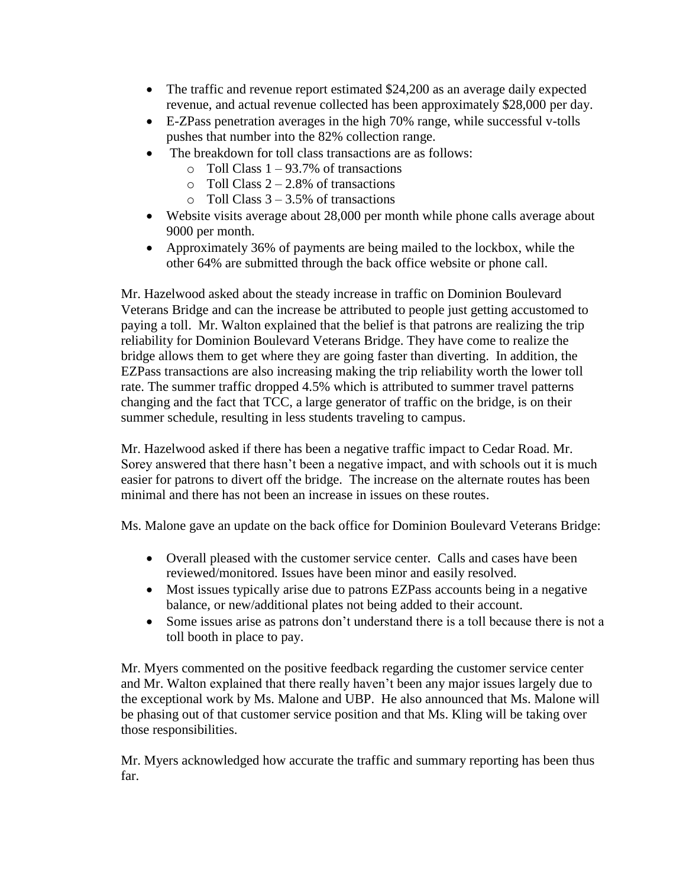- The traffic and revenue report estimated \$24,200 as an average daily expected revenue, and actual revenue collected has been approximately \$28,000 per day.
- E-ZPass penetration averages in the high 70% range, while successful v-tolls pushes that number into the 82% collection range.
- The breakdown for toll class transactions are as follows:
	- $\circ$  Toll Class 1 93.7% of transactions
	- $\circ$  Toll Class 2 2.8% of transactions
	- $\circ$  Toll Class 3 3.5% of transactions
- Website visits average about 28,000 per month while phone calls average about 9000 per month.
- Approximately 36% of payments are being mailed to the lockbox, while the other 64% are submitted through the back office website or phone call.

Mr. Hazelwood asked about the steady increase in traffic on Dominion Boulevard Veterans Bridge and can the increase be attributed to people just getting accustomed to paying a toll. Mr. Walton explained that the belief is that patrons are realizing the trip reliability for Dominion Boulevard Veterans Bridge. They have come to realize the bridge allows them to get where they are going faster than diverting. In addition, the EZPass transactions are also increasing making the trip reliability worth the lower toll rate. The summer traffic dropped 4.5% which is attributed to summer travel patterns changing and the fact that TCC, a large generator of traffic on the bridge, is on their summer schedule, resulting in less students traveling to campus.

Mr. Hazelwood asked if there has been a negative traffic impact to Cedar Road. Mr. Sorey answered that there hasn't been a negative impact, and with schools out it is much easier for patrons to divert off the bridge. The increase on the alternate routes has been minimal and there has not been an increase in issues on these routes.

Ms. Malone gave an update on the back office for Dominion Boulevard Veterans Bridge:

- Overall pleased with the customer service center. Calls and cases have been reviewed/monitored. Issues have been minor and easily resolved.
- Most issues typically arise due to patrons EZPass accounts being in a negative balance, or new/additional plates not being added to their account.
- Some issues arise as patrons don't understand there is a toll because there is not a toll booth in place to pay.

Mr. Myers commented on the positive feedback regarding the customer service center and Mr. Walton explained that there really haven't been any major issues largely due to the exceptional work by Ms. Malone and UBP. He also announced that Ms. Malone will be phasing out of that customer service position and that Ms. Kling will be taking over those responsibilities.

Mr. Myers acknowledged how accurate the traffic and summary reporting has been thus far.